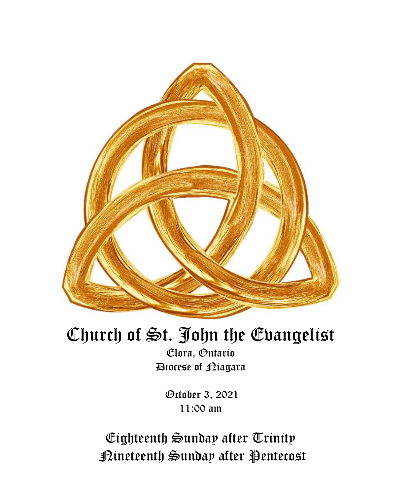

# Church of St. John the Evangelist

Elora, Ontario Diocese of Niagara

> October 3, 2021 11:00 am

Eighteenth Sunday after Trinity Nineteenth Sunday after Pentecost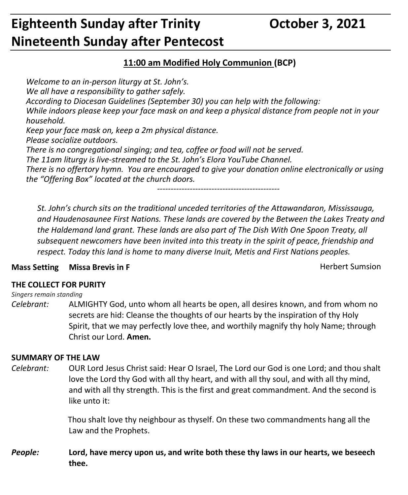## **Eighteenth Sunday after Trinity Corporation Controller 3, 2021 Nineteenth Sunday after Pentecost**

### **11:00 am Modified Holy Communion (BCP)**

*Welcome to an in-person liturgy at St. John's. We all have a responsibility to gather safely. According to Diocesan Guidelines (September 30) you can help with the following: While indoors please keep your face mask on and keep a physical distance from people not in your household. Keep your face mask on, keep a 2m physical distance. Please socialize outdoors. There is no congregational singing; and tea, coffee or food will not be served. The 11am liturgy is live-streamed to the St. John's Elora YouTube Channel. There is no offertory hymn. You are encouraged to give your donation online electronically or using the "Offering Box" located at the church doors.*

*---------------------------------------------*

*St. John's church sits on the traditional unceded territories of the Attawandaron, Mississauga, and Haudenosaunee First Nations. These lands are covered by the Between the Lakes Treaty and the Haldemand land grant. These lands are also part of The Dish With One Spoon Treaty, all subsequent newcomers have been invited into this treaty in the spirit of peace, friendship and respect. Today this land is home to many diverse Inuit, Metis and First Nations peoples.* 

### **Mass Setting Missa Brevis in F** New York Sumsion Mass Setting Missa Brevis in F New York Sumsion

#### **THE COLLECT FOR PURITY**

#### *Singers remain standing*

*Celebrant:* ALMIGHTY God, unto whom all hearts be open, all desires known, and from whom no secrets are hid: Cleanse the thoughts of our hearts by the inspiration of thy Holy Spirit, that we may perfectly love thee, and worthily magnify thy holy Name; through Christ our Lord. **Amen.**

#### **SUMMARY OF THE LAW**

*Celebrant:* OUR Lord Jesus Christ said: Hear O Israel, The Lord our God is one Lord; and thou shalt love the Lord thy God with all thy heart, and with all thy soul, and with all thy mind, and with all thy strength. This is the first and great commandment. And the second is like unto it:

> Thou shalt love thy neighbour as thyself. On these two commandments hang all the Law and the Prophets.

*People:* **Lord, have mercy upon us, and write both these thy laws in our hearts, we beseech thee.**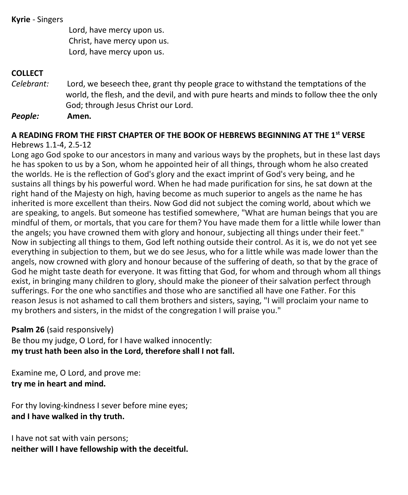#### **Kyrie** - Singers

Lord, have mercy upon us. Christ, have mercy upon us. Lord, have mercy upon us.

#### **COLLECT**

*Celebrant:* Lord, we beseech thee, grant thy people grace to withstand the temptations of the world, the flesh, and the devil, and with pure hearts and minds to follow thee the only God; through Jesus Christ our Lord.

*People:* **Amen.**

#### **A READING FROM THE FIRST CHAPTER OF THE BOOK OF HEBREWS BEGINNING AT THE 1st VERSE** Hebrews 1.1-4, 2.5-12

Long ago God spoke to our ancestors in many and various ways by the prophets, but in these last days he has spoken to us by a Son, whom he appointed heir of all things, through whom he also created the worlds. He is the reflection of God's glory and the exact imprint of God's very being, and he sustains all things by his powerful word. When he had made purification for sins, he sat down at the right hand of the Majesty on high, having become as much superior to angels as the name he has inherited is more excellent than theirs. Now God did not subject the coming world, about which we are speaking, to angels. But someone has testified somewhere, "What are human beings that you are mindful of them, or mortals, that you care for them? You have made them for a little while lower than the angels; you have crowned them with glory and honour, subjecting all things under their feet." Now in subjecting all things to them, God left nothing outside their control. As it is, we do not yet see everything in subjection to them, but we do see Jesus, who for a little while was made lower than the angels, now crowned with glory and honour because of the suffering of death, so that by the grace of God he might taste death for everyone. It was fitting that God, for whom and through whom all things exist, in bringing many children to glory, should make the pioneer of their salvation perfect through sufferings. For the one who sanctifies and those who are sanctified all have one Father. For this reason Jesus is not ashamed to call them brothers and sisters, saying, "I will proclaim your name to my brothers and sisters, in the midst of the congregation I will praise you."

#### **Psalm 26** (said responsively)

Be thou my judge, O Lord, for I have walked innocently: **my trust hath been also in the Lord, therefore shall I not fall.**

Examine me, O Lord, and prove me: **try me in heart and mind.**

For thy loving-kindness I sever before mine eyes; **and I have walked in thy truth.**

I have not sat with vain persons; **neither will I have fellowship with the deceitful.**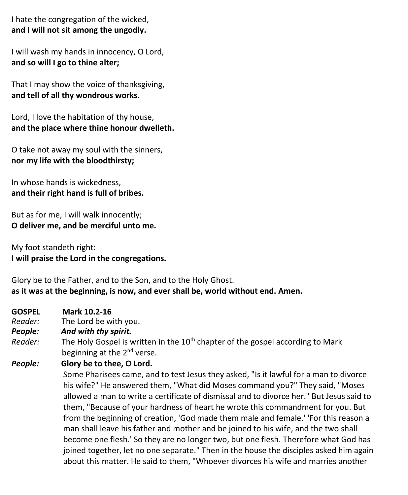I hate the congregation of the wicked, **and I will not sit among the ungodly.**

I will wash my hands in innocency, O Lord, **and so will I go to thine alter;**

That I may show the voice of thanksgiving, **and tell of all thy wondrous works.**

Lord, I love the habitation of thy house, **and the place where thine honour dwelleth.**

O take not away my soul with the sinners, **nor my life with the bloodthirsty;**

In whose hands is wickedness, **and their right hand is full of bribes.**

But as for me, I will walk innocently; **O deliver me, and be merciful unto me.**

My foot standeth right: **I will praise the Lord in the congregations.**

Glory be to the Father, and to the Son, and to the Holy Ghost. **as it was at the beginning, is now, and ever shall be, world without end. Amen.**

- **GOSPEL Mark 10.2-16**
- *Reader:*The Lord be with you.
- *People: And with thy spirit.*
- *Reader:* The Holy Gospel is written in the 10<sup>th</sup> chapter of the gospel according to Mark beginning at the 2<sup>nd</sup> verse.
- *People:* **Glory be to thee, O Lord.**

Some Pharisees came, and to test Jesus they asked, "Is it lawful for a man to divorce his wife?" He answered them, "What did Moses command you?" They said, "Moses allowed a man to write a certificate of dismissal and to divorce her." But Jesus said to them, "Because of your hardness of heart he wrote this commandment for you. But from the beginning of creation, 'God made them male and female.' 'For this reason a man shall leave his father and mother and be joined to his wife, and the two shall become one flesh.' So they are no longer two, but one flesh. Therefore what God has joined together, let no one separate." Then in the house the disciples asked him again about this matter. He said to them, "Whoever divorces his wife and marries another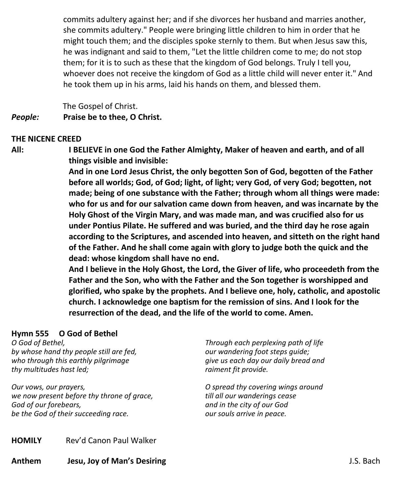commits adultery against her; and if she divorces her husband and marries another, she commits adultery." People were bringing little children to him in order that he might touch them; and the disciples spoke sternly to them. But when Jesus saw this, he was indignant and said to them, "Let the little children come to me; do not stop them; for it is to such as these that the kingdom of God belongs. Truly I tell you, whoever does not receive the kingdom of God as a little child will never enter it." And he took them up in his arms, laid his hands on them, and blessed them.

 The Gospel of Christ. *People:* **Praise be to thee, O Christ.**

#### **THE NICENE CREED**

**All: I BELIEVE in one God the Father Almighty, Maker of heaven and earth, and of all things visible and invisible:**

> **And in one Lord Jesus Christ, the only begotten Son of God, begotten of the Father before all worlds; God, of God; light, of light; very God, of very God; begotten, not made; being of one substance with the Father; through whom all things were made: who for us and for our salvation came down from heaven, and was incarnate by the Holy Ghost of the Virgin Mary, and was made man, and was crucified also for us under Pontius Pilate. He suffered and was buried, and the third day he rose again according to the Scriptures, and ascended into heaven, and sitteth on the right hand of the Father. And he shall come again with glory to judge both the quick and the dead: whose kingdom shall have no end.**

> **And I believe in the Holy Ghost, the Lord, the Giver of life, who proceedeth from the Father and the Son, who with the Father and the Son together is worshipped and glorified, who spake by the prophets. And I believe one, holy, catholic, and apostolic church. I acknowledge one baptism for the remission of sins. And I look for the resurrection of the dead, and the life of the world to come. Amen.**

#### **Hymn 555 O God of Bethel**

*O God of Bethel, by whose hand thy people still are fed, who through this earthly pilgrimage thy multitudes hast led;*

*Our vows, our prayers, we now present before thy throne of grace, God of our forebears, be the God of their succeeding race.*

*Through each perplexing path of life our wandering foot steps guide; give us each day our daily bread and raiment fit provide.*

*O spread thy covering wings around till all our wanderings cease and in the city of our God our souls arrive in peace.*

**HOMILY** Rev'd Canon Paul Walker

**Anthem Jesu, Joy of Man's Desiring** J.S. Bach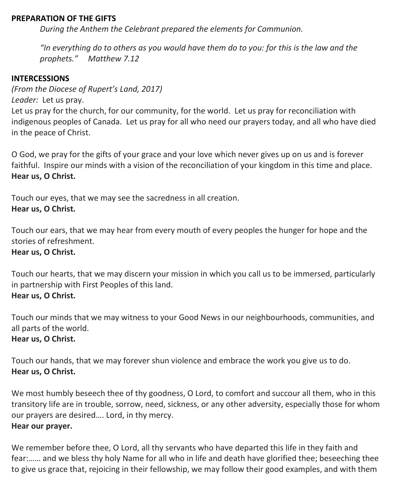#### **PREPARATION OF THE GIFTS**

*During the Anthem the Celebrant prepared the elements for Communion.*

*"In everything do to others as you would have them do to you: for this is the law and the prophets." Matthew 7.12*

#### **INTERCESSIONS**

*(From the Diocese of Rupert's Land, 2017)*

*Leader:* Let us pray.

Let us pray for the church, for our community, for the world. Let us pray for reconciliation with indigenous peoples of Canada. Let us pray for all who need our prayers today, and all who have died in the peace of Christ.

O God, we pray for the gifts of your grace and your love which never gives up on us and is forever faithful. Inspire our minds with a vision of the reconciliation of your kingdom in this time and place. **Hear us, O Christ.**

Touch our eyes, that we may see the sacredness in all creation. **Hear us, O Christ.**

Touch our ears, that we may hear from every mouth of every peoples the hunger for hope and the stories of refreshment.

#### **Hear us, O Christ.**

Touch our hearts, that we may discern your mission in which you call us to be immersed, particularly in partnership with First Peoples of this land. **Hear us, O Christ.**

Touch our minds that we may witness to your Good News in our neighbourhoods, communities, and all parts of the world. **Hear us, O Christ.**

Touch our hands, that we may forever shun violence and embrace the work you give us to do. **Hear us, O Christ.**

We most humbly beseech thee of thy goodness, O Lord, to comfort and succour all them, who in this transitory life are in trouble, sorrow, need, sickness, or any other adversity, especially those for whom our prayers are desired…. Lord, in thy mercy.

**Hear our prayer.**

We remember before thee, O Lord, all thy servants who have departed this life in they faith and fear:…… and we bless thy holy Name for all who in life and death have glorified thee; beseeching thee to give us grace that, rejoicing in their fellowship, we may follow their good examples, and with them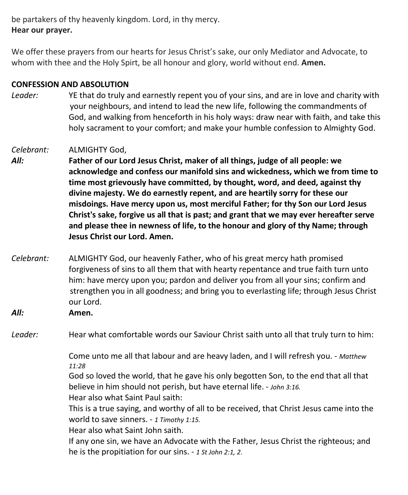be partakers of thy heavenly kingdom. Lord, in thy mercy. **Hear our prayer.**

We offer these prayers from our hearts for Jesus Christ's sake, our only Mediator and Advocate, to whom with thee and the Holy Spirt, be all honour and glory, world without end. **Amen.**

#### **CONFESSION AND ABSOLUTION**

*Leader:* YE that do truly and earnestly repent you of your sins, and are in love and charity with your neighbours, and intend to lead the new life, following the commandments of God, and walking from henceforth in his holy ways: draw near with faith, and take this holy sacrament to your comfort; and make your humble confession to Almighty God.

#### *Celebrant:* ALMIGHTY God,

*All:* **Father of our Lord Jesus Christ, maker of all things, judge of all people: we acknowledge and confess our manifold sins and wickedness, which we from time to time most grievously have committed, by thought, word, and deed, against thy divine majesty. We do earnestly repent, and are heartily sorry for these our misdoings. Have mercy upon us, most merciful Father; for thy Son our Lord Jesus Christ's sake, forgive us all that is past; and grant that we may ever hereafter serve and please thee in newness of life, to the honour and glory of thy Name; through Jesus Christ our Lord. Amen.**

- *Celebrant:* ALMIGHTY God, our heavenly Father, who of his great mercy hath promised forgiveness of sins to all them that with hearty repentance and true faith turn unto him: have mercy upon you; pardon and deliver you from all your sins; confirm and strengthen you in all goodness; and bring you to everlasting life; through Jesus Christ our Lord.
- *All:* **Amen.**

*Leader:* Hear what comfortable words our Saviour Christ saith unto all that truly turn to him:

Come unto me all that labour and are heavy laden, and I will refresh you. - *Matthew 11:28*

God so loved the world, that he gave his only begotten Son, to the end that all that believe in him should not perish, but have eternal life. - *John 3:16.*

Hear also what Saint Paul saith:

This is a true saying, and worthy of all to be received, that Christ Jesus came into the world to save sinners. - *1 Timothy 1:15.*

Hear also what Saint John saith.

If any one sin, we have an Advocate with the Father, Jesus Christ the righteous; and he is the propitiation for our sins. - *1 St John 2:1, 2*.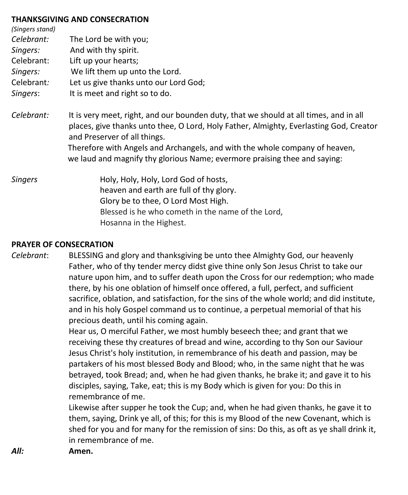#### **THANKSGIVING AND CONSECRATION**

| (Singers stand)<br>Celebrant:<br>Singers:<br>Celebrant:<br>Singers:<br>Celebrant:<br>Singers: | The Lord be with you;<br>And with thy spirit.<br>Lift up your hearts;<br>We lift them up unto the Lord.<br>Let us give thanks unto our Lord God;<br>It is meet and right so to do.                                                                                                                                                                                          |
|-----------------------------------------------------------------------------------------------|-----------------------------------------------------------------------------------------------------------------------------------------------------------------------------------------------------------------------------------------------------------------------------------------------------------------------------------------------------------------------------|
| Celebrant:                                                                                    | It is very meet, right, and our bounden duty, that we should at all times, and in all<br>places, give thanks unto thee, O Lord, Holy Father, Almighty, Everlasting God, Creator<br>and Preserver of all things.<br>Therefore with Angels and Archangels, and with the whole company of heaven,<br>we laud and magnify thy glorious Name; evermore praising thee and saying: |
| <b>Singers</b>                                                                                | Holy, Holy, Holy, Lord God of hosts,<br>heaven and earth are full of thy glory.<br>Glory be to thee, O Lord Most High.<br>Blessed is he who cometh in the name of the Lord,<br>Hosanna in the Highest.                                                                                                                                                                      |

#### **PRAYER OF CONSECRATION**

*Celebrant*: BLESSING and glory and thanksgiving be unto thee Almighty God, our heavenly Father, who of thy tender mercy didst give thine only Son Jesus Christ to take our nature upon him, and to suffer death upon the Cross for our redemption; who made there, by his one oblation of himself once offered, a full, perfect, and sufficient sacrifice, oblation, and satisfaction, for the sins of the whole world; and did institute, and in his holy Gospel command us to continue, a perpetual memorial of that his precious death, until his coming again.

> Hear us, O merciful Father, we most humbly beseech thee; and grant that we receiving these thy creatures of bread and wine, according to thy Son our Saviour Jesus Christ's holy institution, in remembrance of his death and passion, may be partakers of his most blessed Body and Blood; who, in the same night that he was betrayed, took Bread; and, when he had given thanks, he brake it; and gave it to his disciples, saying, Take, eat; this is my Body which is given for you: Do this in remembrance of me.

Likewise after supper he took the Cup; and, when he had given thanks, he gave it to them, saying, Drink ye all, of this; for this is my Blood of the new Covenant, which is shed for you and for many for the remission of sins: Do this, as oft as ye shall drink it, in remembrance of me.

*All:* **Amen.**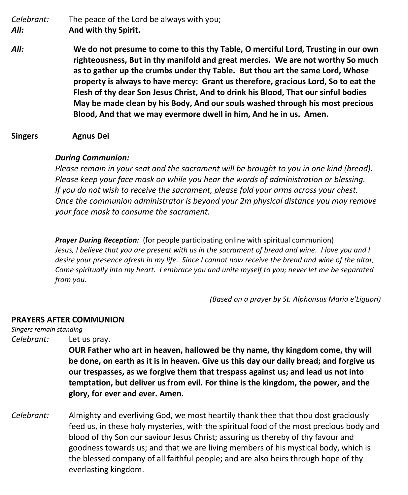*Celebrant:* The peace of the Lord be always with you; *All:* **And with thy Spirit.**

*All:* **We do not presume to come to this thy Table, O merciful Lord, Trusting in our own righteousness, But in thy manifold and great mercies. We are not worthy So much as to gather up the crumbs under thy Table. But thou art the same Lord, Whose property is always to have mercy: Grant us therefore, gracious Lord, So to eat the Flesh of thy dear Son Jesus Christ, And to drink his Blood, That our sinful bodies May be made clean by his Body, And our souls washed through his most precious Blood, And that we may evermore dwell in him, And he in us. Amen.**

**Singers Agnus Dei**

#### *During Communion:*

*Please remain in your seat and the sacrament will be brought to you in one kind (bread). Please keep your face mask on while you hear the words of administration or blessing. If you do not wish to receive the sacrament, please fold your arms across your chest. Once the communion administrator is beyond your 2m physical distance you may remove your face mask to consume the sacrament.*

*Prayer During Reception:* (for people participating online with spiritual communion) Jesus, I believe that you are present with us in the sacrament of bread and wine. I love you and I desire your presence afresh in my life. Since I cannot now receive the bread and wine of the altar, *Come spiritually into my heart. I embrace you and unite myself to you; never let me be separated from you.*

*(Based on a prayer by St. Alphonsus Maria e'Liguori)*

#### **PRAYERS AFTER COMMUNION**

*Singers remain standing*

*Celebrant:* Let us pray.

**OUR Father who art in heaven, hallowed be thy name, thy kingdom come, thy will be done, on earth as it is in heaven. Give us this day our daily bread; and forgive us our trespasses, as we forgive them that trespass against us; and lead us not into temptation, but deliver us from evil. For thine is the kingdom, the power, and the glory, for ever and ever. Amen.**

*Celebrant:* Almighty and everliving God, we most heartily thank thee that thou dost graciously feed us, in these holy mysteries, with the spiritual food of the most precious body and blood of thy Son our saviour Jesus Christ; assuring us thereby of thy favour and goodness towards us; and that we are living members of his mystical body, which is the blessed company of all faithful people; and are also heirs through hope of thy everlasting kingdom.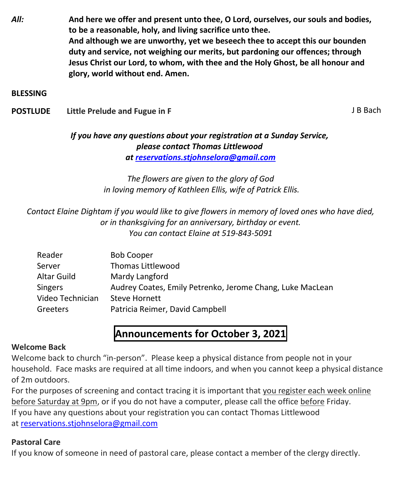*All:* **And here we offer and present unto thee, O Lord, ourselves, our souls and bodies, to be a reasonable, holy, and living sacrifice unto thee. And although we are unworthy, yet we beseech thee to accept this our bounden duty and service, not weighing our merits, but pardoning our offences; through Jesus Christ our Lord, to whom, with thee and the Holy Ghost, be all honour and glory, world without end. Amen.**

#### **BLESSING**

**POSTLUDE** Little Prelude and Fugue in F **All and Fugue in F** All B Bach

#### *If you have any questions about your registration at a Sunday Service, please contact Thomas Littlewood at [reservations.stjohnselora@gmail.com](mailto:reservations.stjohnselora@gmail.com)*

*The flowers are given to the glory of God in loving memory of Kathleen Ellis, wife of Patrick Ellis.*

#### *Contact Elaine Dightam if you would like to give flowers in memory of loved ones who have died, or in thanksgiving for an anniversary, birthday or event. You can contact Elaine at 519-843-5091*

| Reader           | <b>Bob Cooper</b>                                         |
|------------------|-----------------------------------------------------------|
| Server           | <b>Thomas Littlewood</b>                                  |
| Altar Guild      | Mardy Langford                                            |
| <b>Singers</b>   | Audrey Coates, Emily Petrenko, Jerome Chang, Luke MacLean |
| Video Technician | <b>Steve Hornett</b>                                      |
| Greeters         | Patricia Reimer, David Campbell                           |
|                  |                                                           |

### **Announcements for October 3, 2021**

#### **Welcome Back**

Welcome back to church "in-person". Please keep a physical distance from people not in your household. Face masks are required at all time indoors, and when you cannot keep a physical distance of 2m outdoors.

For the purposes of screening and contact tracing it is important that you register each week online before Saturday at 9pm, or if you do not have a computer, please call the office before Friday. If you have any questions about your registration you can contact Thomas Littlewood at [reservations.stjohnselora@gmail.com](mailto:reservations.stjohnselora@gmail.com)

#### **Pastoral Care**

If you know of someone in need of pastoral care, please contact a member of the clergy directly.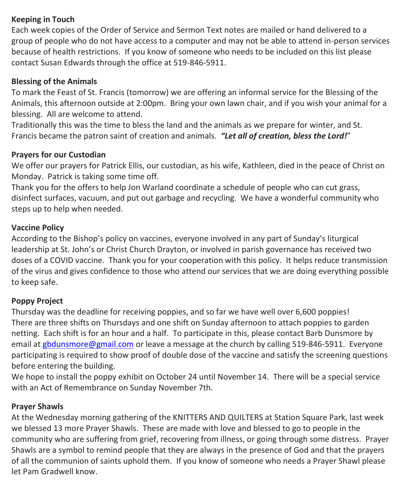#### **Keeping in Touch**

Each week copies of the Order of Service and Sermon Text notes are mailed or hand delivered to a group of people who do not have access to a computer and may not be able to attend in-person services because of health restrictions. If you know of someone who needs to be included on this list please contact Susan Edwards through the office at 519-846-5911.

#### **Blessing of the Animals**

To mark the Feast of St. Francis (tomorrow) we are offering an informal service for the Blessing of the Animals, this afternoon outside at 2:00pm. Bring your own lawn chair, and if you wish your animal for a blessing. All are welcome to attend.

Traditionally this was the time to bless the land and the animals as we prepare for winter, and St. Francis became the patron saint of creation and animals. *"Let all of creation, bless the Lord!*"

#### **Prayers for our Custodian**

We offer our prayers for Patrick Ellis, our custodian, as his wife, Kathleen, died in the peace of Christ on Monday. Patrick is taking some time off.

Thank you for the offers to help Jon Warland coordinate a schedule of people who can cut grass, disinfect surfaces, vacuum, and put out garbage and recycling. We have a wonderful community who steps up to help when needed.

#### **Vaccine Policy**

According to the Bishop's policy on vaccines, everyone involved in any part of Sunday's liturgical leadership at St. John's or Christ Church Drayton, or involved in parish governance has received two doses of a COVID vaccine. Thank you for your cooperation with this policy. It helps reduce transmission of the virus and gives confidence to those who attend our services that we are doing everything possible to keep safe.

#### **Poppy Project**

Thursday was the deadline for receiving poppies, and so far we have well over 6,600 poppies! There are three shifts on Thursdays and one shift on Sunday afternoon to attach poppies to garden netting. Each shift is for an hour and a half. To participate in this, please contact Barb Dunsmore by email at [gbdunsmore@gmail.com](mailto:gbdunsmore@gmail.com) or leave a message at the church by calling 519-846-5911. Everyone participating is required to show proof of double dose of the vaccine and satisfy the screening questions before entering the building.

We hope to install the poppy exhibit on October 24 until November 14. There will be a special service with an Act of Remembrance on Sunday November 7th.

#### **Prayer Shawls**

At the Wednesday morning gathering of the KNITTERS AND QUILTERS at Station Square Park, last week we blessed 13 more Prayer Shawls. These are made with love and blessed to go to people in the community who are suffering from grief, recovering from illness, or going through some distress. Prayer Shawls are a symbol to remind people that they are always in the presence of God and that the prayers of all the communion of saints uphold them. If you know of someone who needs a Prayer Shawl please let Pam Gradwell know.